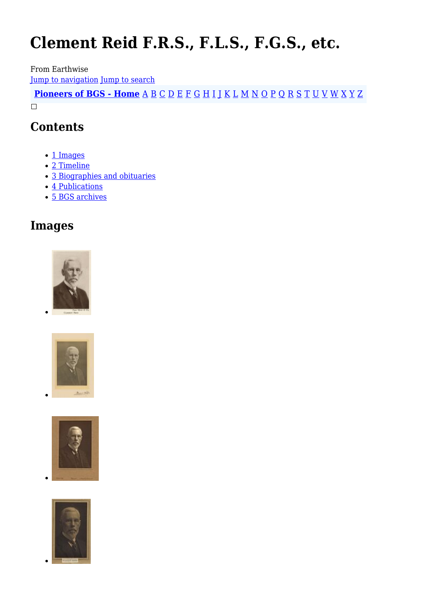# **Clement Reid F.R.S., F.L.S., F.G.S., etc.**

From Earthwise

[Jump to navigation](#page--1-0) [Jump to search](#page--1-0)

**[Pioneers of BGS - Home](http://earthwise.bgs.ac.uk/index.php/Pioneers_of_the_British_Geological_Survey)** [A](http://earthwise.bgs.ac.uk/index.php/Pioneers_of_the_British_Geological_Survey#A) [B](http://earthwise.bgs.ac.uk/index.php/Pioneers_of_the_British_Geological_Survey#B) [C](http://earthwise.bgs.ac.uk/index.php/Pioneers_of_the_British_Geological_Survey#C) [D](http://earthwise.bgs.ac.uk/index.php/Pioneers_of_the_British_Geological_Survey#D) [E](http://earthwise.bgs.ac.uk/index.php/Pioneers_of_the_British_Geological_Survey#E) [F](http://earthwise.bgs.ac.uk/index.php/Pioneers_of_the_British_Geological_Survey#F) [G](http://earthwise.bgs.ac.uk/index.php/Pioneers_of_the_British_Geological_Survey#G) [H](http://earthwise.bgs.ac.uk/index.php/Pioneers_of_the_British_Geological_Survey#H) [I](http://earthwise.bgs.ac.uk/index.php/Pioneers_of_the_British_Geological_Survey#I) [J](http://earthwise.bgs.ac.uk/index.php/Pioneers_of_the_British_Geological_Survey#J) [K](http://earthwise.bgs.ac.uk/index.php/Pioneers_of_the_British_Geological_Survey#K) [L](http://earthwise.bgs.ac.uk/index.php/Pioneers_of_the_British_Geological_Survey#L) [M](http://earthwise.bgs.ac.uk/index.php/Pioneers_of_the_British_Geological_Survey#M) [N](http://earthwise.bgs.ac.uk/index.php/Pioneers_of_the_British_Geological_Survey#N) [O](http://earthwise.bgs.ac.uk/index.php/Pioneers_of_the_British_Geological_Survey#O) [P](http://earthwise.bgs.ac.uk/index.php/Pioneers_of_the_British_Geological_Survey#P) [Q](http://earthwise.bgs.ac.uk/index.php/Pioneers_of_the_British_Geological_Survey#Q) [R](http://earthwise.bgs.ac.uk/index.php/Pioneers_of_the_British_Geological_Survey#R) [S](http://earthwise.bgs.ac.uk/index.php/Pioneers_of_the_British_Geological_Survey#S) [T](http://earthwise.bgs.ac.uk/index.php/Pioneers_of_the_British_Geological_Survey#T) [U](http://earthwise.bgs.ac.uk/index.php/Pioneers_of_the_British_Geological_Survey#U) [V](http://earthwise.bgs.ac.uk/index.php/Pioneers_of_the_British_Geological_Survey#V) [W](http://earthwise.bgs.ac.uk/index.php/Pioneers_of_the_British_Geological_Survey#W) [X](http://earthwise.bgs.ac.uk/index.php/Pioneers_of_the_British_Geological_Survey#X) [Y](http://earthwise.bgs.ac.uk/index.php/Pioneers_of_the_British_Geological_Survey#Y) [Z](http://earthwise.bgs.ac.uk/index.php/Pioneers_of_the_British_Geological_Survey#Z)  $\Box$ 

### **Contents**

- [1](#page--1-0) [Images](#page--1-0)
- [2](#page--1-0) [Timeline](#page--1-0)
- [3](#page--1-0) [Biographies and obituaries](#page--1-0)
- [4](#page--1-0) [Publications](#page--1-0)
- [5](#page--1-0) [BGS archives](#page--1-0)

### **Images**







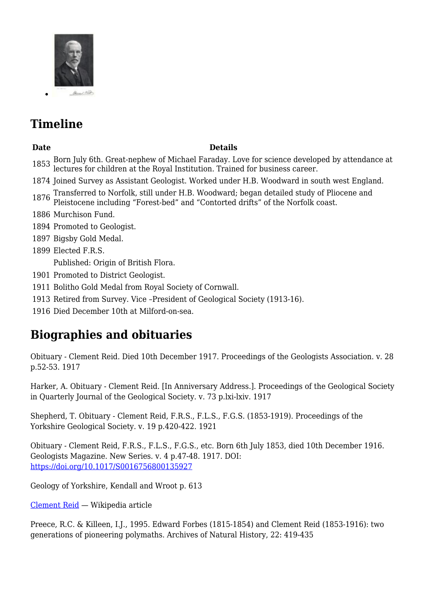

## **Timeline**

#### **Date Details**

- 1853 Born July 6th. Great-nephew of Michael Faraday. Love for science developed by attendance at lectures for children at the Royal Institution. Trained for business career.
- 1874 Joined Survey as Assistant Geologist. Worked under H.B. Woodward in south west England.
- <sup>1876</sup> Transferred to Norfolk, still under H.B. Woodward; began detailed study of Pliocene and Pleistocene including "Forest-bed" and "Contorted drifts" of the Norfolk coast.
- 1886 Murchison Fund.
- 1894 Promoted to Geologist.
- 1897 Bigsby Gold Medal.
- 1899 Elected F.R.S.

Published: Origin of British Flora.

- 1901 Promoted to District Geologist.
- 1911 Bolitho Gold Medal from Royal Society of Cornwall.
- 1913 Retired from Survey. Vice –President of Geological Society (1913-16).
- 1916 Died December 10th at Milford-on-sea.

### **Biographies and obituaries**

Obituary - Clement Reid. Died 10th December 1917. Proceedings of the Geologists Association. v. 28 p.52-53. 1917

Harker, A. Obituary - Clement Reid. [In Anniversary Address.]. Proceedings of the Geological Society in Quarterly Journal of the Geological Society. v. 73 p.lxi-lxiv. 1917

Shepherd, T. Obituary - Clement Reid, F.R.S., F.L.S., F.G.S. (1853-1919). Proceedings of the Yorkshire Geological Society. v. 19 p.420-422. 1921

Obituary - Clement Reid, F.R.S., F.L.S., F.G.S., etc. Born 6th July 1853, died 10th December 1916. Geologists Magazine. New Series. v. 4 p.47-48. 1917. DOI: <https://doi.org/10.1017/S0016756800135927>

Geology of Yorkshire, Kendall and Wroot p. 613

[Clement Reid](https://en.wikipedia.org/wiki/Clement_Reid) — Wikipedia article

Preece, R.C. & Killeen, I.J., 1995. Edward Forbes (1815-1854) and Clement Reid (1853-1916): two generations of pioneering polymaths. Archives of Natural History, 22: 419-435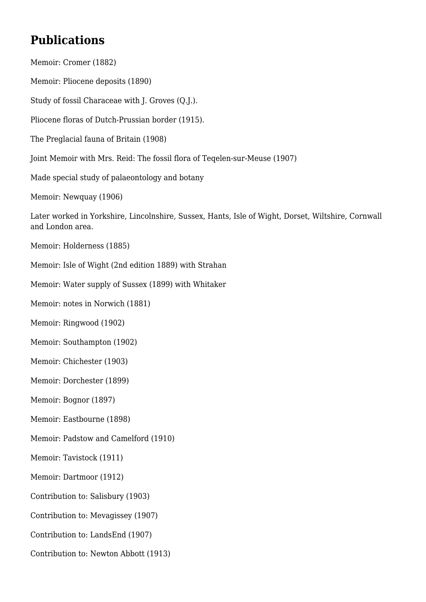### **Publications**

Memoir: Cromer (1882) Memoir: Pliocene deposits (1890) Study of fossil Characeae with J. Groves (Q.J.). Pliocene floras of Dutch-Prussian border (1915). The Preglacial fauna of Britain (1908) Joint Memoir with Mrs. Reid: The fossil flora of Teqelen-sur-Meuse (1907) Made special study of palaeontology and botany Memoir: Newquay (1906) Later worked in Yorkshire, Lincolnshire, Sussex, Hants, Isle of Wight, Dorset, Wiltshire, Cornwall and London area. Memoir: Holderness (1885) Memoir: Isle of Wight (2nd edition 1889) with Strahan Memoir: Water supply of Sussex (1899) with Whitaker Memoir: notes in Norwich (1881) Memoir: Ringwood (1902) Memoir: Southampton (1902) Memoir: Chichester (1903) Memoir: Dorchester (1899) Memoir: Bognor (1897) Memoir: Eastbourne (1898) Memoir: Padstow and Camelford (1910) Memoir: Tavistock (1911) Memoir: Dartmoor (1912) Contribution to: Salisbury (1903) Contribution to: Mevagissey (1907) Contribution to: LandsEnd (1907)

Contribution to: Newton Abbott (1913)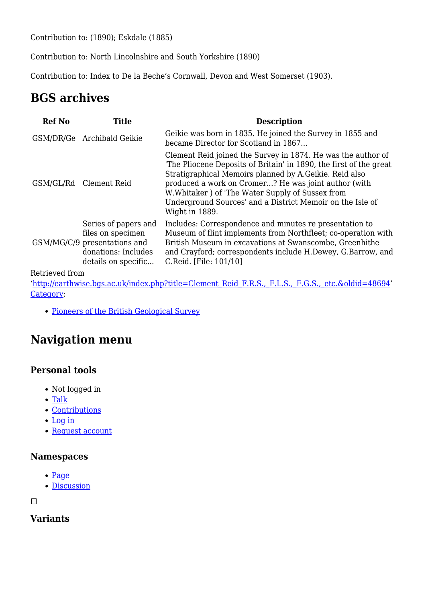Contribution to: (1890); Eskdale (1885)

Contribution to: North Lincolnshire and South Yorkshire (1890)

Contribution to: Index to De la Beche's Cornwall, Devon and West Somerset (1903).

### **BGS archives**

| <b>Ref No</b> | <b>Title</b>                                                                                                            | <b>Description</b>                                                                                                                                                                                                                                                                                                                                                                     |
|---------------|-------------------------------------------------------------------------------------------------------------------------|----------------------------------------------------------------------------------------------------------------------------------------------------------------------------------------------------------------------------------------------------------------------------------------------------------------------------------------------------------------------------------------|
|               | GSM/DR/Ge Archibald Geikie                                                                                              | Geikie was born in 1835. He joined the Survey in 1855 and<br>became Director for Scotland in 1867                                                                                                                                                                                                                                                                                      |
|               | GSM/GL/Rd Clement Reid                                                                                                  | Clement Reid joined the Survey in 1874. He was the author of<br>The Pliocene Deposits of Britain' in 1890, the first of the great<br>Stratigraphical Memoirs planned by A.Geikie. Reid also<br>produced a work on Cromer? He was joint author (with<br>W. Whitaker) of 'The Water Supply of Sussex from<br>Underground Sources' and a District Memoir on the Isle of<br>Wight in 1889. |
|               | Series of papers and<br>files on specimen<br>GSM/MG/C/9 presentations and<br>donations: Includes<br>details on specific | Includes: Correspondence and minutes re presentation to<br>Museum of flint implements from Northfleet; co-operation with<br>British Museum in excavations at Swanscombe, Greenhithe<br>and Crayford; correspondents include H.Dewey, G.Barrow, and<br>C.Reid. [File: 101/10]                                                                                                           |

Retrieved from

'[http://earthwise.bgs.ac.uk/index.php?title=Clement\\_Reid\\_F.R.S.,\\_F.L.S.,\\_F.G.S.,\\_etc.&oldid=48694'](http://earthwise.bgs.ac.uk/index.php?title=Clement_Reid_F.R.S.,_F.L.S.,_F.G.S.,_etc.&oldid=48694) [Category](http://earthwise.bgs.ac.uk/index.php/Special:Categories):

• [Pioneers of the British Geological Survey](http://earthwise.bgs.ac.uk/index.php/Category:Pioneers_of_the_British_Geological_Survey)

### **Navigation menu**

### **Personal tools**

- Not logged in
- [Talk](http://earthwise.bgs.ac.uk/index.php/Special:MyTalk)
- [Contributions](http://earthwise.bgs.ac.uk/index.php/Special:MyContributions)
- [Log in](http://earthwise.bgs.ac.uk/index.php?title=Special:UserLogin&returnto=Clement+Reid+F.R.S.%2C+F.L.S.%2C+F.G.S.%2C+etc.&returntoquery=action%3Dmpdf)
- [Request account](http://earthwise.bgs.ac.uk/index.php/Special:RequestAccount)

#### **Namespaces**

- [Page](http://earthwise.bgs.ac.uk/index.php/Clement_Reid_F.R.S.,_F.L.S.,_F.G.S.,_etc.)
- [Discussion](http://earthwise.bgs.ac.uk/index.php?title=Talk:Clement_Reid_F.R.S.,_F.L.S.,_F.G.S.,_etc.&action=edit&redlink=1)

 $\overline{\phantom{a}}$ 

#### **Variants**